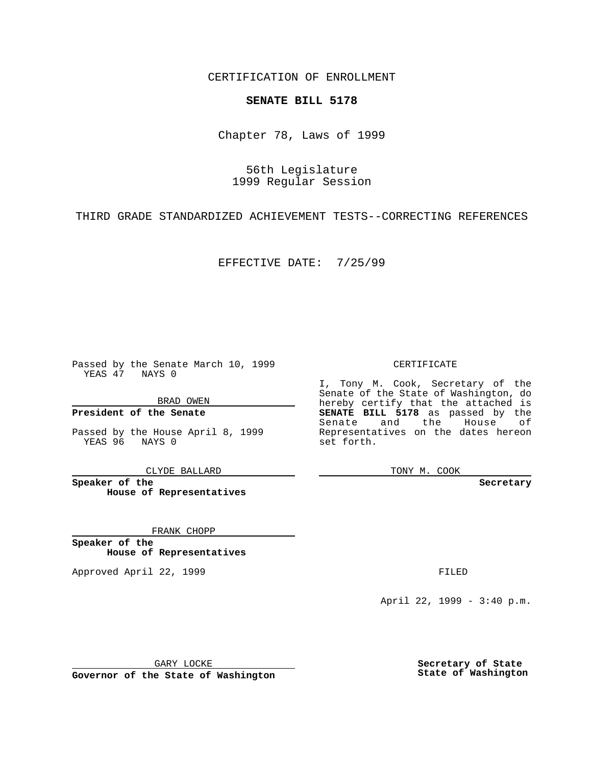CERTIFICATION OF ENROLLMENT

## **SENATE BILL 5178**

Chapter 78, Laws of 1999

56th Legislature 1999 Regular Session

THIRD GRADE STANDARDIZED ACHIEVEMENT TESTS--CORRECTING REFERENCES

EFFECTIVE DATE: 7/25/99

Passed by the Senate March 10, 1999 YEAS 47 NAYS 0

BRAD OWEN

**President of the Senate**

Passed by the House April 8, 1999 YEAS 96 NAYS 0

CLYDE BALLARD

**Speaker of the House of Representatives**

FRANK CHOPP

**Speaker of the House of Representatives**

Approved April 22, 1999 **FILED** 

CERTIFICATE

I, Tony M. Cook, Secretary of the Senate of the State of Washington, do hereby certify that the attached is **SENATE BILL 5178** as passed by the Senate and the House of Representatives on the dates hereon set forth.

TONY M. COOK

**Secretary**

April 22, 1999 - 3:40 p.m.

GARY LOCKE

**Governor of the State of Washington**

**Secretary of State State of Washington**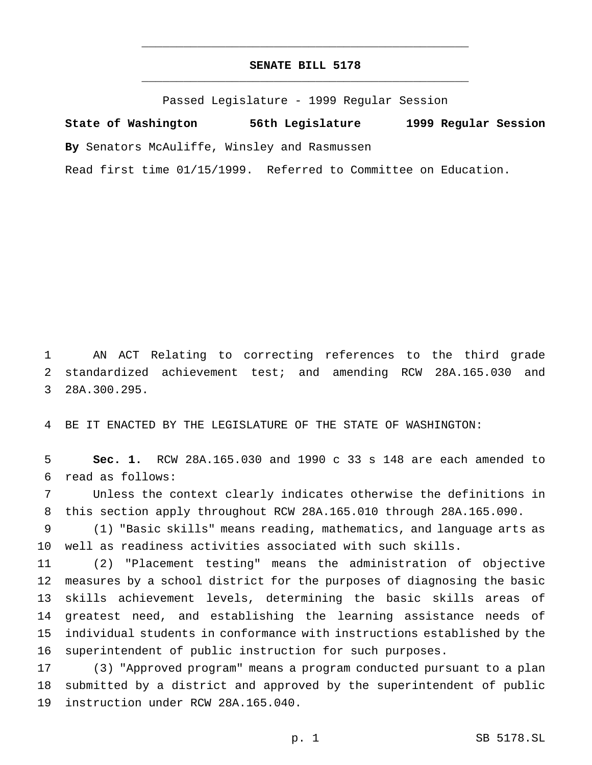## **SENATE BILL 5178** \_\_\_\_\_\_\_\_\_\_\_\_\_\_\_\_\_\_\_\_\_\_\_\_\_\_\_\_\_\_\_\_\_\_\_\_\_\_\_\_\_\_\_\_\_\_\_

\_\_\_\_\_\_\_\_\_\_\_\_\_\_\_\_\_\_\_\_\_\_\_\_\_\_\_\_\_\_\_\_\_\_\_\_\_\_\_\_\_\_\_\_\_\_\_

Passed Legislature - 1999 Regular Session

**State of Washington 56th Legislature 1999 Regular Session By** Senators McAuliffe, Winsley and Rasmussen Read first time 01/15/1999. Referred to Committee on Education.

 AN ACT Relating to correcting references to the third grade standardized achievement test; and amending RCW 28A.165.030 and 28A.300.295.

BE IT ENACTED BY THE LEGISLATURE OF THE STATE OF WASHINGTON:

 **Sec. 1.** RCW 28A.165.030 and 1990 c 33 s 148 are each amended to read as follows:

 Unless the context clearly indicates otherwise the definitions in this section apply throughout RCW 28A.165.010 through 28A.165.090.

 (1) "Basic skills" means reading, mathematics, and language arts as well as readiness activities associated with such skills.

 (2) "Placement testing" means the administration of objective measures by a school district for the purposes of diagnosing the basic skills achievement levels, determining the basic skills areas of greatest need, and establishing the learning assistance needs of individual students in conformance with instructions established by the superintendent of public instruction for such purposes.

 (3) "Approved program" means a program conducted pursuant to a plan submitted by a district and approved by the superintendent of public instruction under RCW 28A.165.040.